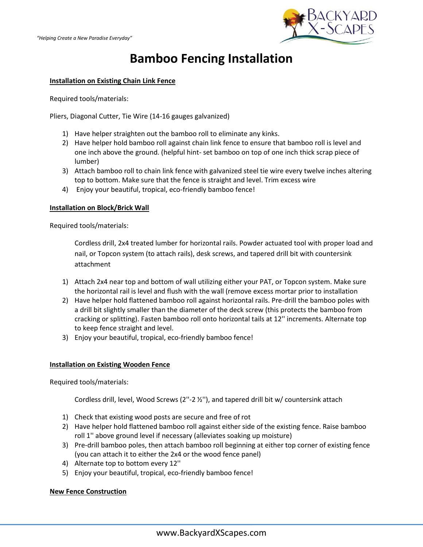

# **Bamboo Fencing Installation**

## **Installation on Existing Chain Link Fence**

Required tools/materials:

Pliers, Diagonal Cutter, Tie Wire (14-16 gauges galvanized)

- 1) Have helper straighten out the bamboo roll to eliminate any kinks.
- 2) Have helper hold bamboo roll against chain link fence to ensure that bamboo roll is level and one inch above the ground. (helpful hint- set bamboo on top of one inch thick scrap piece of lumber)
- 3) Attach bamboo roll to chain link fence with galvanized steel tie wire every twelve inches altering top to bottom. Make sure that the fence is straight and level. Trim excess wire
- 4) Enjoy your beautiful, tropical, eco-friendly bamboo fence!

### **Installation on Block/Brick Wall**

Required tools/materials:

Cordless drill, 2x4 treated lumber for horizontal rails. Powder actuated tool with proper load and nail, or Topcon system (to attach rails), desk screws, and tapered drill bit with countersink attachment

- 1) Attach 2x4 near top and bottom of wall utilizing either your PAT, or Topcon system. Make sure the horizontal rail is level and flush with the wall (remove excess mortar prior to installation
- 2) Have helper hold flattened bamboo roll against horizontal rails. Pre-drill the bamboo poles with a drill bit slightly smaller than the diameter of the deck screw (this protects the bamboo from cracking or splitting). Fasten bamboo roll onto horizontal tails at 12'' increments. Alternate top to keep fence straight and level.
- 3) Enjoy your beautiful, tropical, eco-friendly bamboo fence!

### **Installation on Existing Wooden Fence**

Required tools/materials:

Cordless drill, level, Wood Screws (2''-2 ½''), and tapered drill bit w/ countersink attach

- 1) Check that existing wood posts are secure and free of rot
- 2) Have helper hold flattened bamboo roll against either side of the existing fence. Raise bamboo roll 1'' above ground level if necessary (alleviates soaking up moisture)
- 3) Pre-drill bamboo poles, then attach bamboo roll beginning at either top corner of existing fence (you can attach it to either the 2x4 or the wood fence panel)
- 4) Alternate top to bottom every 12''
- 5) Enjoy your beautiful, tropical, eco-friendly bamboo fence!

### **New Fence Construction**